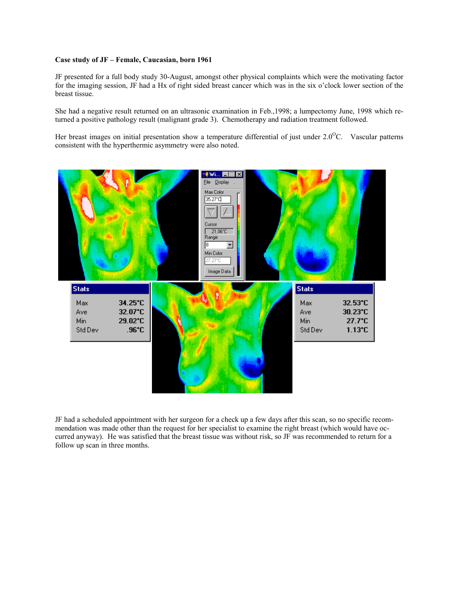## **Case study of JF – Female, Caucasian, born 1961**

JF presented for a full body study 30-August, amongst other physical complaints which were the motivating factor for the imaging session, JF had a Hx of right sided breast cancer which was in the six o'clock lower section of the breast tissue.

She had a negative result returned on an ultrasonic examination in Feb.,1998; a lumpectomy June, 1998 which returned a positive pathology result (malignant grade 3). Chemotherapy and radiation treatment followed.

Her breast images on initial presentation show a temperature differential of just under  $2.0^{\circ}$ C. Vascular patterns consistent with the hyperthermic asymmetry were also noted.



JF had a scheduled appointment with her surgeon for a check up a few days after this scan, so no specific recommendation was made other than the request for her specialist to examine the right breast (which would have occurred anyway). He was satisfied that the breast tissue was without risk, so JF was recommended to return for a follow up scan in three months.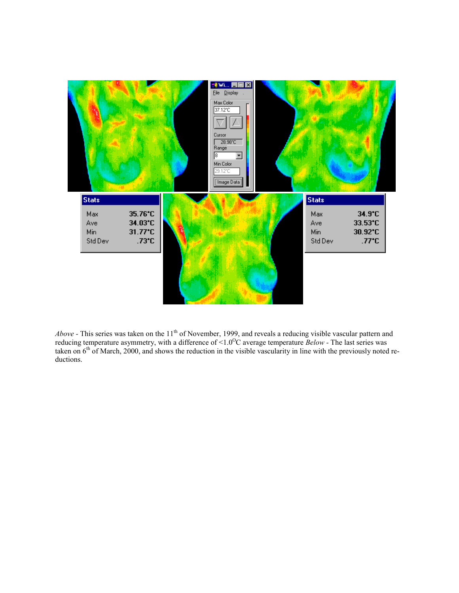

*Above* - This series was taken on the  $11<sup>th</sup>$  of November, 1999, and reveals a reducing visible vascular pattern and reducing temperature asymmetry, with a difference of <1.0OC average temperature *Below -* The last series was taken on  $6<sup>th</sup>$  of March, 2000, and shows the reduction in the visible vascularity in line with the previously noted reductions.